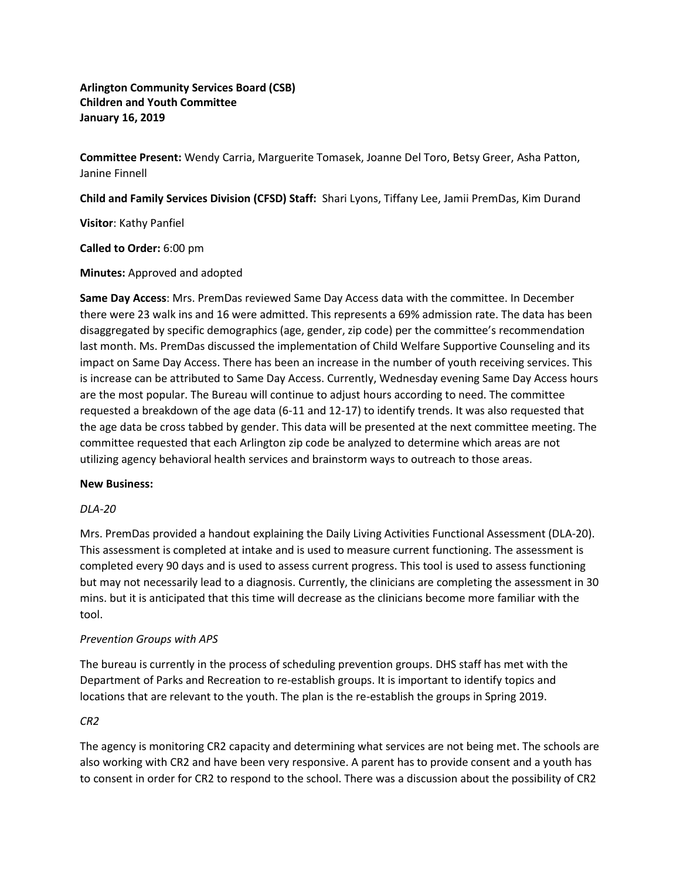**Arlington Community Services Board (CSB) Children and Youth Committee January 16, 2019**

**Committee Present:** Wendy Carria, Marguerite Tomasek, Joanne Del Toro, Betsy Greer, Asha Patton, Janine Finnell

**Child and Family Services Division (CFSD) Staff:** Shari Lyons, Tiffany Lee, Jamii PremDas, Kim Durand

**Visitor**: Kathy Panfiel

**Called to Order:** 6:00 pm

**Minutes:** Approved and adopted

**Same Day Access**: Mrs. PremDas reviewed Same Day Access data with the committee. In December there were 23 walk ins and 16 were admitted. This represents a 69% admission rate. The data has been disaggregated by specific demographics (age, gender, zip code) per the committee's recommendation last month. Ms. PremDas discussed the implementation of Child Welfare Supportive Counseling and its impact on Same Day Access. There has been an increase in the number of youth receiving services. This is increase can be attributed to Same Day Access. Currently, Wednesday evening Same Day Access hours are the most popular. The Bureau will continue to adjust hours according to need. The committee requested a breakdown of the age data (6-11 and 12-17) to identify trends. It was also requested that the age data be cross tabbed by gender. This data will be presented at the next committee meeting. The committee requested that each Arlington zip code be analyzed to determine which areas are not utilizing agency behavioral health services and brainstorm ways to outreach to those areas.

#### **New Business:**

#### *DLA-20*

Mrs. PremDas provided a handout explaining the Daily Living Activities Functional Assessment (DLA-20). This assessment is completed at intake and is used to measure current functioning. The assessment is completed every 90 days and is used to assess current progress. This tool is used to assess functioning but may not necessarily lead to a diagnosis. Currently, the clinicians are completing the assessment in 30 mins. but it is anticipated that this time will decrease as the clinicians become more familiar with the tool.

# *Prevention Groups with APS*

The bureau is currently in the process of scheduling prevention groups. DHS staff has met with the Department of Parks and Recreation to re-establish groups. It is important to identify topics and locations that are relevant to the youth. The plan is the re-establish the groups in Spring 2019.

# *CR2*

The agency is monitoring CR2 capacity and determining what services are not being met. The schools are also working with CR2 and have been very responsive. A parent has to provide consent and a youth has to consent in order for CR2 to respond to the school. There was a discussion about the possibility of CR2